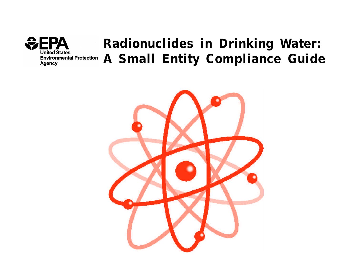### **Radionuclides in Drinking Water: United States A Small Entity Compliance GuideEnvironmental Protection Agency**

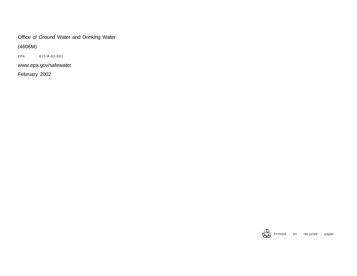### Office of Ground Water and Drinking Water

(4606M)

EPA 815-R-02-001

www.epa.gov/safewater

February 2002

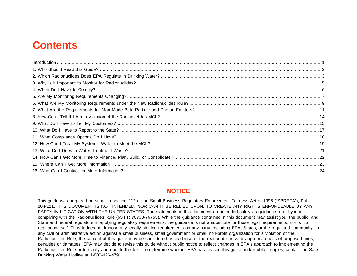### **Contents**

### **NOTICE**

This guide was prepared pursuant to section 212 of the Small Business Regulatory Enforcement Fairness Act of 1996 ("SBREFA"), Pub. L. 104-121. THIS DOCUMENT IS NOT INTENDED, NOR CAN IT BE RELIED UPON, TO CREATE ANY RIGHTS ENFORCEABLE BY ANY PARTY IN LITIGATION WITH THE UNITED STATES. The statements in this document are intended solely as guidance to aid you in complying with the Radionuclides Rule (65 FR 76708-76753). While the guidance contained in this document may assist you, the public, and State and federal regulators in applying regulatory requirements, the guidance is not a substitute for those legal requirements; nor is it a regulation itself. Thus it does not impose any legally binding requirements on any party, including EPA, States, or the regulated community. In any civil or administrative action against a small business, small government or small non-profit organization for a violation of the Radionuclides Rule, the content of this guide may be considered as evidence of the reasonableness or appropriateness of proposed fines, penalties or damages. EPA may decide to revise this guide without public notice to reflect changes in EPA's approach to implementing the Radionuclides Rule or to clarify and update the text. To determine whether EPA has revised this guide and/or obtain copies, contact the Safe Drinking Water Hotline at 1-800-426-4791.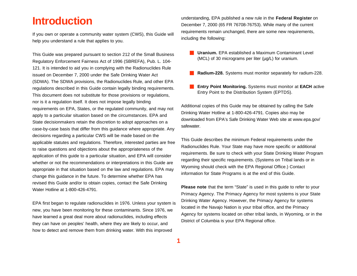### **Introduction**

If you own or operate a community water system (CWS), this Guide will help you understand a rule that applies to you.

This Guide was prepared pursuant to section 212 of the Small Business Regulatory Enforcement Fairness Act of 1996 (SBREFA), Pub. L. 104- 121. It is intended to aid you in complying with the Radionuclides Rule issued on December 7, 2000 under the Safe Drinking Water Act (SDWA). The SDWA provisions, the Radionuclides Rule, and other EPA regulations described in this Guide contain legally binding requirements. This document does not substitute for those provisions or regulations, nor is it a regulation itself. It does not impose legally binding requirements on EPA, States, or the regulated community, and may not apply to a particular situation based on the circumstances. EPA and State decisionmakers retain the discretion to adopt approaches on a case-by-case basis that differ from this guidance where appropriate. Any decisions regarding a particular CWS will be made based on the applicable statutes and regulations. Therefore, interested parties are free to raise questions and objections about the appropriateness of the application of this guide to a particular situation, and EPA will consider whether or not the recommendations or interpretations in this Guide are appropriate in that situation based on the law and regulations. EPA may change this guidance in the future. To determine whether EPA has revised this Guide and/or to obtain copies, contact the Safe Drinking Water Hotline at 1-800-426-4791.

EPA first began to regulate radionuclides in 1976. Unless your system is new, you have been monitoring for these contaminants. Since 1976, we have learned a great deal more about radionuclides, including effects they can have on peoples' health, where they are likely to occur, and how to detect and remove them from drinking water. With this improved

understanding, EPA published a new rule in the **Federal Register** on December 7, 2000 (65 FR 76708-76753). While many of the current requirements remain unchanged, there are some new requirements, including the following:

- **Uranium.** EPA established a Maximum Contaminant Level (MCL) of 30 micrograms per liter (µg/L) for uranium.
- **Radium-228.** Systems must monitor separately for radium-228.
- **External Entry Point Monitoring.** Systems must monitor at **EACH** active Entry Point to the Distribution System (EPTDS).

Additional copies of this Guide may be obtained by calling the Safe Drinking Water Hotline at 1-800-426-4791. Copies also may be downloaded from EPA's Safe Drinking Water Web site at www.epa.gov/ safewater.

This Guide describes the minimum Federal requirements under the Radionuclides Rule. Your State may have more specific or additional requirements. Be sure to check with your State Drinking Water Program regarding their specific requirements. (Systems on Tribal lands or in Wyoming should check with the EPA Regional Office.) Contact information for State Programs is at the end of this Guide.

**Please note** that the term "State" is used in this guide to refer to your Primacy Agency. The Primacy Agency for most systems is your State Drinking Water Agency. However, the Primacy Agency for systems located in the Navajo Nation is your tribal office, and the Primacy Agency for systems located on other tribal lands, in Wyoming, or in the District of Columbia is your EPA Regional office.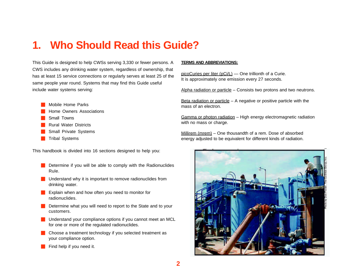### **1. Who Should Read this Guide?**

This Guide is designed to help CWSs serving 3,330 or fewer persons. A CWS includes any drinking water system, regardless of ownership, that has at least 15 service connections or regularly serves at least 25 of the same people year round. Systems that may find this Guide useful include water systems serving:

- Mobile Home Parks
- Home Owners Associations
- Small Towns
- **Rural Water Districts**
- Small Private Systems
- **Tribal Systems**

This handbook is divided into 16 sections designed to help you:

- Determine if you will be able to comply with the Radionuclides Rule.
- Understand why it is important to remove radionuclides from drinking water.
- Explain when and how often you need to monitor for radionuclides.
- Determine what you will need to report to the State and to your customers.
- Understand your compliance options if you cannot meet an MCL for one or more of the regulated radionuclides.
- Choose a treatment technology if you selected treatment as your compliance option.
- Find help if you need it.

#### **TERMS AND ABBREVIATIONS:**

picoCuries per liter (pCi/L) — One trillionth of a Curie. It is approximately one emission every 27 seconds.

Alpha radiation or particle – Consists two protons and two neutrons.

Beta radiation or particle  $-$  A negative or positive particle with the mass of an electron.

Gamma or photon radiation – High energy electromagnetic radiation with no mass or charge.

Millirem (mrem) – One thousandth of a rem. Dose of absorbed energy adjusted to be equivalent for different kinds of radiation.

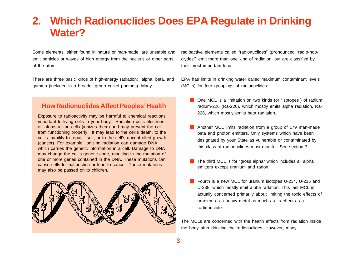# **2. Which Radionuclides Does EPA Regulate in Drinking Water?**

Some elements, either found in nature or man-made, are unstable and emit particles or waves of high energy from the nucleus or other parts of the atom.

There are three basic kinds of high-energy radiation: alpha, beta, and gamma (included in a broader group called photons). Many

### **How Radionuclides Affect Peoples' Health**

Exposure to radioactivity may be harmful to chemical reactions important to living cells in your body. Radiation pulls electrons off atoms in the cells (ionizes them) and may prevent the cell from functioning properly. It may lead to the cell's death, to the cell's inability to repair itself, or to the cell's uncontrolled growth (cancer). For example, ionizing radiation can damage DNA, which carries the genetic information in a cell. Damage to DNA may change the cell's genetic code, resulting in the mutation of one or more genes contained in the DNA. These mutations can cause cells to malfunction or lead to cancer. These mutations may also be passed on to children.



radioactive elements called "radionuclides" (pronounced "radio-nooclydes") emit more than one kind of radiation, but are classified by their most important kind.

EPA has limits in drinking water called maximum contaminant levels (MCLs) for four groupings of radionuclides:

- One MCL is a limitation on two kinds (or "isotopes") of radium: radium-226 (Ra-226), which mostly emits alpha radiation, Ra-228, which mostly emits beta radiation.
- **Another MCL limits radiation from a group of 179 man-made** beta and photon emitters. Only systems which have been designated by your State as vulnerable or contaminated by this class of radionuclides must monitor. See section 7.
- The third MCL is for "gross alpha" which includes all alpha emitters except uranium and radon.
- Fourth is a new MCL for uranium isotopes U-234, U-235 and U-238, which mostly emit alpha radation. This last MCL is actually concerned primarily about limiting the toxic effects of uranium as a heavy metal as much as its effect as a radionuclide.

The MCLs are concerned with the health effects from radiation inside the body after drinking the radionuclides. However, many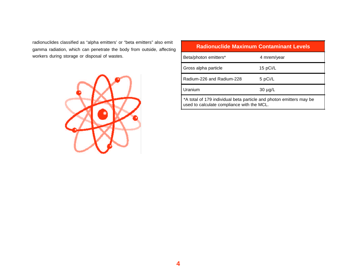radionuclides classified as "alpha emitters' or "beta emitters" also emit gamma radiation, which can penetrate the body from outside, affecting workers during storage or disposal of wastes.



| <b>Radionuclide Maximum Contaminant Levels</b>                                                                    |              |  |  |  |
|-------------------------------------------------------------------------------------------------------------------|--------------|--|--|--|
| Beta/photon emitters*                                                                                             | 4 mrem/year  |  |  |  |
| Gross alpha particle                                                                                              | 15 pCi/L     |  |  |  |
| Radium-226 and Radium-228                                                                                         | 5 pCi/L      |  |  |  |
| Uranium                                                                                                           | $30 \mu g/L$ |  |  |  |
| *A total of 179 individual beta particle and photon emitters may be<br>used to calculate compliance with the MCL. |              |  |  |  |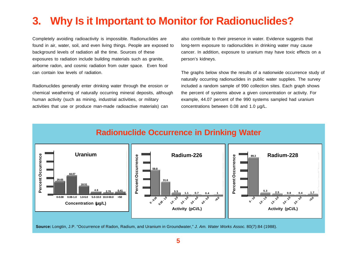## **3. Why Is it Important to Monitor for Radionuclides?**

Completely avoiding radioactivity is impossible. Radionuclides are found in air, water, soil, and even living things. People are exposed to background levels of radiation all the time. Sources of these exposures to radiation include building materials such as granite, airborne radon, and cosmic radiation from outer space. Even food can contain low levels of radiation.

Radionuclides generally enter drinking water through the erosion or chemical weathering of naturally occurring mineral deposits, although human activity (such as mining, industrial activities, or military activities that use or produce man-made radioactive materials) can

also contribute to their presence in water. Evidence suggests that long-term exposure to radionuclides in drinking water may cause cancer. In addition, exposure to uranium may have toxic effects on a person's kidneys.

The graphs below show the results of a nationwide occurrence study of naturally occurring radionuclides in public water supplies. The survey included a random sample of 990 collection sites. Each graph shows the percent of systems above a given concentration or activity. For example, 44.07 percent of the 990 systems sampled had uranium concentrations between 0.08 and 1.0 µg/L.



**Source:** Longtin, J.P. "Occurrence of Radon, Radium, and Uranium in Groundwater," *J. Am. Water Works Assoc.* 80(7):84 (1988).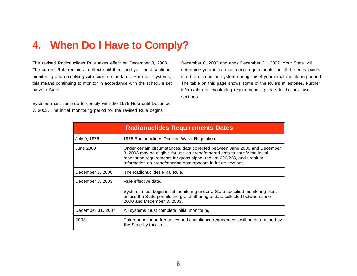### **4. When Do I Have to Comply?**

The revised Radionuclides Rule takes effect on December 8, 2003. The current Rule remains in effect until then, and you must continue monitoring and complying with current standards. For most systems, this means continuing to monitor in accordance with the schedule set by your State.

Systems must continue to comply with the 1976 Rule until December 7, 2003. The initial monitoring period for the revised Rule begins

December 8, 2003 and ends December 31, 2007. Your State will determine your initial monitoring requirements for all the entry points into the distribution system during this 4-year initial monitoring period. The table on this page shows some of the Rule's milestones. Further information on monitoring requirements appears in the next two sections.

|                   | <b>Radionuclides Requirements Dates</b>                                                                                                                                                                                                                                                               |
|-------------------|-------------------------------------------------------------------------------------------------------------------------------------------------------------------------------------------------------------------------------------------------------------------------------------------------------|
| July 9, 1976      | 1976 Radionuclides Drinking Water Regulation.                                                                                                                                                                                                                                                         |
| June 2000         | Under certain circumstances, data collected between June 2000 and December<br>8, 2003 may be eligible for use as grandfathered data to satisfy the initial<br>monitoring requirements for gross alpha, radium-226/228, and uranium.<br>Information on grandfathering data appears in future sections. |
| December 7, 2000  | The Radionuclides Final Rule.                                                                                                                                                                                                                                                                         |
| December 8, 2003  | Rule effective date.                                                                                                                                                                                                                                                                                  |
|                   | Systems must begin initial monitoring under a State-specified monitoring plan,<br>unless the State permits the grandfathering of data collected between June<br>2000 and December 8, 2003.                                                                                                            |
| December 31, 2007 | All systems must complete initial monitoring.                                                                                                                                                                                                                                                         |
| 2008              | Future monitoring frequency and compliance requirements will be determined by<br>the State by this time.                                                                                                                                                                                              |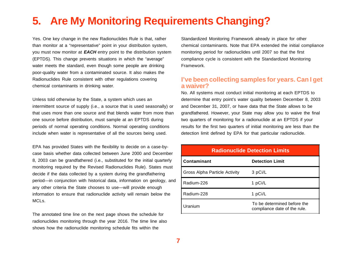# **5. Are My Monitoring Requirements Changing?**

Yes. One key change in the new Radionuclides Rule is that, rather than monitor at a "representative" point in your distribution system, you must now monitor at *EACH* entry point to the distribution system (EPTDS). This change prevents situations in which the "average" water meets the standard, even though some people are drinking poor-quality water from a contaminated source. It also makes the Radionuclides Rule consistent with other regulations covering chemical contaminants in drinking water.

Unless told otherwise by the State, a system which uses an intermittent source of supply (i.e., a source that is used seasonally) or that uses more than one source and that blends water from more than one source before distribution, must sample at an EPTDS during periods of normal operating conditions. Normal operating conditions include when water is representative of all the sources being used.

EPA has provided States with the flexibility to decide on a case-bycase basis whether data collected between June 2000 and December 8, 2003 can be grandfathered (i.e., substituted for the initial quarterly monitoring required by the Revised Radionuclides Rule). States must decide if the data collected by a system during the grandfathering period—in conjunction with historical data, information on geology, and any other criteria the State chooses to use—will provide enough information to ensure that radionuclide activity will remain below the MCLs.

The annotated time line on the next page shows the schedule for radionuclides monitoring through the year 2016. The time line also shows how the radionuclide monitoring schedule fits within the

Standardized Monitoring Framework already in place for other chemical contaminants. Note that EPA extended the initial compliance monitoring period for radionuclides until 2007 so that the first compliance cycle is consistent with the Standardized Monitoring Framework.

### **I've been collecting samples for years. Can I get a waiver?**

No. All systems must conduct initial monitoring at each EPTDS to determine that entry point's water quality between December 8, 2003 and December 31, 2007, or have data that the State allows to be grandfathered. However, your State may allow you to waive the final two quarters of monitoring for a radionuclide at an EPTDS if your results for the first two quarters of initial monitoring are less than the detection limit defined by EPA for that particular radionuclide.

| <b>Radionuclide Detection Limits</b> |                                                             |  |  |  |
|--------------------------------------|-------------------------------------------------------------|--|--|--|
| <b>Contaminant</b>                   | <b>Detection Limit</b>                                      |  |  |  |
| <b>Gross Alpha Particle Activity</b> | 3 pCi/L                                                     |  |  |  |
| Radium-226                           | 1 pCi/L                                                     |  |  |  |
| Radium-228                           | 1 pCi/L                                                     |  |  |  |
| Uranium                              | To be determined before the<br>compliance date of the rule. |  |  |  |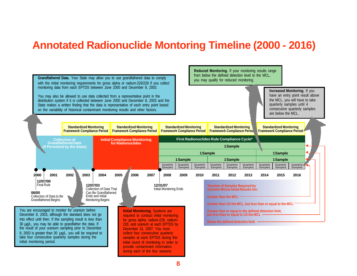## **Annotated Radionuclide Montoring Timeline (2000 - 2016)**

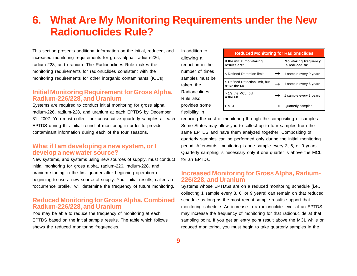## **6. What Are My Monitoring Requirements under the New Radionuclides Rule?**

This section presents additional information on the initial, reduced, and increased monitoring requirements for gross alpha, radium-226, radium-228, and uranium. The Radionuclides Rule makes the monitoring requirements for radionuclides consistent with the monitoring requirements for other inorganic contaminants (IOCs).

### **Initial Monitoring Requirement for Gross Alpha, Radium-226/228, and Uranium**

Systems are required to conduct initial monitoring for gross alpha, radium-226, radium-228, and uranium at each EPTDS by December 31, 2007. You must collect four consecutive quarterly samples at each EPTDS during this initial round of monitoring in order to provide contaminant information during each of the four seasons.

### **What if I am developing a new system, or I develop a new water source?**

New systems, and systems using new sources of supply, must conduct initial monitoring for gross alpha, radium-226, radium-228, and uranium starting in the first quarter after beginning operation or beginning to use a new source of supply. Your initial results, called an "occurrence profile," will determine the frequency of future monitoring.

### **Reduced Monitoring for Gross Alpha, Combined Radium-226/228, and Uranium**

You may be able to reduce the frequency of monitoring at each EPTDS based on the initial sample results. The table which follows shows the reduced monitoring frequencies.

In addition to allowing a reduction in the number of times samples must be taken, the Radionculides Rule also provides some

flexibility in

| <b>Reduced Monitoring for Radionuclides</b>        |  |                                               |  |  |  |
|----------------------------------------------------|--|-----------------------------------------------|--|--|--|
| If the initial monitoring<br>results are:          |  | <b>Monitoring frequency</b><br>is reduced to: |  |  |  |
| < Defined Detection limit                          |  | 1 sample every 9 years                        |  |  |  |
| \$ Defined Detection limit, but<br>$# 1/2$ the MCL |  | 1 sample every 6 years                        |  |  |  |
| > 1/2 the MCL, but<br># the MCL                    |  | 1 sample every 3 years                        |  |  |  |
| > MCL                                              |  | Quarterly samples                             |  |  |  |

reducing the cost of monitoring through the compositing of samples. Some States may allow you to collect up to four samples from the same EPTDS and have them analyzed together. Compositing of quarterly samples can be performed only during the initial monitoring period. Afterwards, monitoring is one sample every 3, 6, or 9 years. Quarterly sampling is necessary only if one quarter is above the MCL for an EPTDs.

### **Increased Monitoring for Gross Alpha, Radium-226/228, and Uranium**

Systems whose EPTDSs are on a reduced monitoring schedule (i.e., collecting 1 sample every 3, 6, or 9 years) can remain on that reduced schedule as long as the most recent sample results support that monitoring schedule. An increase in a radionuclide level at an EPTDS may increase the frequency of monitoring for that radionuclide at that sampling point. If you get an entry point result above the MCL while on reduced monitoring, you must begin to take quarterly samples in the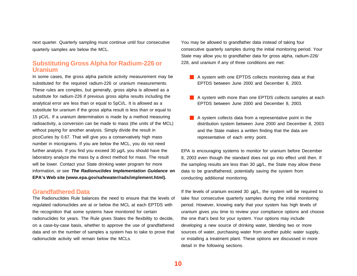next quarter. Quarterly sampling must continue until four consecutive quarterly samples are below the MCL.

#### **Substituting Gross Alpha for Radium-226 or Uranium**

In some cases, the gross alpha particle activity measurement may be substituted for the required radium-226 or uranium measurements. These rules are complex, but generally, gross alpha is allowed as a substitute for radium-226 if previous gross alpha results including the analytical error are less than or equal to 5pCi/L. It is allowed as a substitute for uranium if the gross alpha result is less than or equal to 15 pCi/L. If a uranium determination is made by a method measuring radioactivity, a conversion can be made to mass (the units of the MCL) without paying for another analysis. Simply divide the result in picoCuries by 0.67. That will give you a conservatively high mass number in micrograms. If you are below the MCL, you do not need further analysis. If you find you exceed 30 µg/L you should have the laboratory analyze the mass by a direct method for mass. The result will be lower. Contact your State drinking water program for more information, or see *The Radionuclides Implementation Guidance* **on EPA's Web site (www.epa.gov/safewater/rads/implement.html).**

### **Grandfathered Data**

The Radionuclides Rule balances the need to ensure that the levels of regulated radionuclides are at or below the MCL at each EPTDS with the recognition that some systems have monitored for certain radionuclides for years. The Rule gives States the flexibility to decide, on a case-by-case basis, whether to approve the use of grandfathered data and on the number of samples a system has to take to prove that radionuclide activity will remain below the MCLs.

You may be allowed to grandfather data instead of taking four consecutive quarterly samples during the initial monitoring period. Your State may allow you to grandfather data for gross alpha, radium-226/ 228, and uranium if any of three conditions are met:

- A system with one EPTDS collects monitoring data at that EPTDS between June 2000 and December 8, 2003.
- A system with more than one EPTDS collects samples at each EPTDS between June 2000 and December 8, 2003.
- A system collects data from a representative point in the distribution system between June 2000 and December 8, 2003 and the State makes a written finding that the data are representative of each entry point.

EPA is encouraging systems to monitor for uranium before December 8, 2003 even though the standard does not go into effect until then. If the sampling results are less than 30 μg/L, the State may allow these data to be grandfathered, potentially saving the system from conducting additional monitoring.

If the levels of uranium exceed 30 μg/L, the system will be required to take four consecutive quarterly samples during the initial monitoring period. However, knowing early that your system has high levels of uranium gives you time to review your compliance options and choose the one that's best for your system. Your options may include developing a new source of drinking water, blending two or more sources of water, purchasing water from another public water supply, or installing a treatment plant. These options are discussed in more detail in the following sections.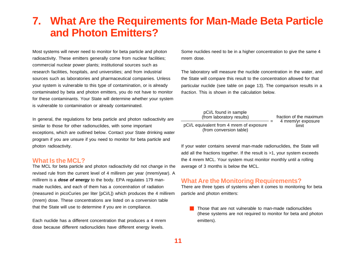## **7. What Are the Requirements for Man-Made Beta Particle and Photon Emitters?**

Most systems will never need to monitor for beta particle and photon radioactivity. These emitters generally come from nuclear facilities; commercial nuclear power plants; institutional sources such as research facilities, hospitals, and universities; and from industrial sources such as laboratories and pharmaceutical companies. Unless your system is vulnerable to this type of contamination, or is already contaminated by beta and photon emitters, you do not have to monitor for these contaminants. Your State will determine whether your system is vulnerable to contamination or already contaminated.

In general, the regulations for beta particle and photon radioactivity are similar to those for other radionuclides, with some important exceptions, which are outlined below. Contact your State drinking water program if you are unsure if you need to monitor for beta particle and photon radioactivity.

#### **What Is the MCL?**

The MCL for beta particle and photon radioactivity did not change in the revised rule from the current level of 4 millirem per year (mrem/year). A millirem is a *dose of energy* to the body. EPA regulates 179 manmade nuclides, and each of them has a *concentration* of radiation (measured in picoCuries per liter [pCi/L]) which produces the 4 millirem (mrem) dose. These concentrations are listed on a conversion table that the State will use to determine if you are in compliance.

Each nuclide has a different concentration that produces a 4 mrem dose because different radionuclides have different energy levels.

Some nuclides need to be in a higher concentration to give the same 4 mrem dose.

The laboratory will measure the nuclide concentration in the water, and the State will compare this result to the concentration allowed for that particular nuclide (see table on page 13). The comparison results in a *fraction*. This is shown in the calculation below.

| pCi/L found in sample<br>(from laboratory results)                  | fraction of the maximum     |
|---------------------------------------------------------------------|-----------------------------|
| pCi/L equivalent from 4 mrem of exposure<br>(from conversion table) | 4 mrem/yr exposure<br>limit |

If your water contains several man-made radionuclides, the State will add all the fractions together. If the result is >1, your system exceeds the 4 mrem MCL. Your system must monitor monthly until a rolling average of 3 months is below the MCL.

### **What Are the Monitoring Requirements?**

There are three types of systems when it comes to monitoring for beta particle and photon emitters:

■ Those that are not vulnerable to man-made radionuclides (these systems are not required to monitor for beta and photon emitters).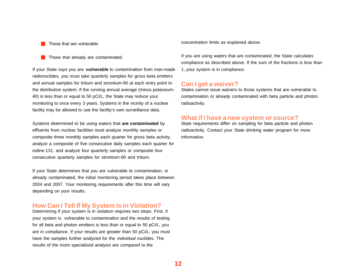Those that are vulnerable.

**■** Those that already are contaminated.

If your State says you are *vulnerable* to contamination from man-made radionuclides, you must take quarterly samples for gross beta emitters and annual samples for tritium and strontium-90 at each entry point to the distribution system. If the running annual average (minus potassium-40) is less than or equal to 50 pCi/L, the State may reduce your monitoring to once every 3 years. Systems in the vicinity of a nuclear facility may be allowed to use the facility's own surveillance data.

Systems determined to be using waters that *are contaminated* by effluents from nuclear facilities must analyze monthly samples or composite three monthly samples each quarter for gross beta activity, analyze a composite of five consecutive daily samples each quarter for iodine-131, and analyze four quarterly samples or composite four consecutive quarterly samples for strontium-90 and tritium.

If your State determines that you are vulnerable to contamination, or already contaminated, the initial monitoring period takes place between 2004 and 2007. Your monitoring requirements after this time will vary depending on your results.

### **How Can I Tell If My System Is in Violation?**

Determining if your system is in violation requires two steps. First, if your system is vulnerable to contamination and the results of testing for all beta and photon emitters is less than or equal to 50 pCi/L, you are in compliance. If your results are greater than 50 pCi/L, you must have the samples further analyzed for the *individual* nuclides. The results of the more specialized analysis are compared to the

concentration limits as explained above.

If you are using waters that are contaminated, the State calculates compliance as described above. If the sum of the fractions is less than 1, your system is in compliance.

#### **Can I get a waiver?**

States cannot issue waivers to those systems that are vulnerable to contamination or already contaminated with beta particle and photon radioactivity.

#### **What if I have a new system or source?**

State requirements differ on sampling for beta particle and photon radioactivity. Contact your State drinking water program for more information.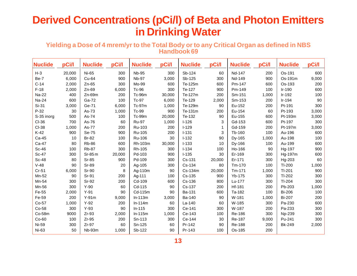# **Derived Concentrations (pCi/l) of Beta and Photon Emitters in Drinking Water**

**Yielding a Dose of 4 mrem/yr to the Total Body or to any Critical Organ as defined in NBS Handbook 69**

| <b>Nuclide</b> | pCi/l  | <b>Nuclide</b> | pCi/l  | <b>Nuclide</b> | pCi/l  | <b>Nuclide</b> | pCi/l  | <b>Nuclide</b> | pCi/l | <b>Nuclide</b> | pCi/l |
|----------------|--------|----------------|--------|----------------|--------|----------------|--------|----------------|-------|----------------|-------|
| $H-3$          | 20,000 | Ni-65          | 300    | <b>Nb-95</b>   | 300    | Sb-124         | 60     | Nd-147         | 200   | Os-191         | 600   |
| Be-7           | 6,000  | Cu-64          | 900    | <b>Nb-97</b>   | 3,000  | Sb-125         | 300    | Nd-149         | 900   | Os-191m        | 9,000 |
| $C-14$         | 2,000  | $Zn-65$        | 300    | Mo-99          | 600    | Te-125m        | 600    | Pm-147         | 600   | Os-193         | 200   |
| $F-18$         | 2,000  | Zn-69          | 6,000  | Tc-96          | 300    | Te-127         | 900    | Pm-149         | 100   | Ir-190         | 600   |
| Na-22          | 400    | Zn-69m         | 200    | <b>Tc-96m</b>  | 30,000 | Te-127m        | 200    | Sm-151         | 1,000 | Ir-192         | 100   |
| Na-24          | 600    | Ga-72          | 100    | Tc-97          | 6,000  | Te-129         | 2,000  | Sm-153         | 200   | Ir-194         | 90    |
| Si-31          | 3,000  | Ge-71          | 6,000  | Tc-97m         | 1,000  | Te-129m        | 90     | Eu-152         | 200   | Pt-191         | 300   |
| $P-32$         | 30     | As-73          | 1,000  | Tc-99          | 900    | Te-131m        | 200    | Eu-154         | 60    | Pt-193         | 3,000 |
| S-35 inorg     | 500    | As-74          | 100    | Tc-99m         | 20,000 | Te-132         | 90     | Eu-155         | 600   | Pt-193m        | 3,000 |
| CI-36          | 700    | As-76          | 60     | <b>Ru-97</b>   | 1,000  | $I-126$        | 3      | Gd-153         | 600   | Pt-197         | 300   |
| CI-38          | 1,000  | As-77          | 200    | Ru-103         | 200    | $I-129$        | 1      | Gd-159         | 200   | Pt-197m        | 3,000 |
| $K-42$         | 900    | Se-75          | 900    | Ru-105         | 200    | $I - 131$      | 3      | Tb-160         | 100   | Au-196         | 600   |
| Ca-45          | 10     | <b>Br-82</b>   | 100    | Ru-106         | 30     | $I-132$        | 90     | Dy-165         | 1,000 | Au-198         | 100   |
| Ca-47          | 80     | <b>Rb-86</b>   | 600    | Rh-103m        | 30,000 | $I - 133$      | 10     | Dy-166         | 100   | Au-199         | 600   |
| Sc-46          | 100    | <b>Rb-87</b>   | 300    | Rh-105         | 300    | $I - 134$      | 100    | Ho-166         | 90    | Hg-197         | 900   |
| Sc-47          | 300    | Sr-85 m        | 20,000 | Pd-103         | 900    | $I-135$        | 30     | Er-169         | 300   | Hg-197m        | 600   |
| Sc-48          | 80     | Sr-85          | 900    | Pd-109         | 300    | Cs-131         | 20,000 | Er-171         | 300   | Hg-203         | 60    |
| $V-48$         | 90     | Sr-89          | 20     | Ag-105         | 300    | Cs-134         | 80     | Tm-170         | 100   | TI-200         | 1,000 |
| $Cr-51$        | 6,000  | <b>Sr-90</b>   | 8      | Ag-110m        | 90     | Cs-134m        | 20,000 | Tm-171         | 1,000 | TI-201         | 900   |
| Mn-52          | 90     | Sr-91          | 200    | Ag-111         | 100    | Cs-135         | 900    | Yb-175         | 300   | TI-202         | 300   |
| Mn-54          | 300    | Sr-92          | 200    | Cd-109         | 600    | Cs-136         | 800    | Lu-177         | 300   | TI-204         | 300   |
| Mn-56          | 300    | $Y-90$         | 60     | Cd-115         | 90     | Cs-137         | 200    | Hf-181         | 200   | Pb-203         | 1,000 |
| Fe-55          | 2,000  | $Y-91$         | 90     | Cd-115m        | 90     | Ba-131         | 600    | Ta-182         | 100   | Bi-206         | 100   |
| Fe-59          | 200    | $Y-91m$        | 9,000  | $ln-113m$      | 3,000  | Ba-140         | 90     | W-181          | 1,000 | Bi-207         | 200   |
| Co-57          | 1,000  | $Y-92$         | 200    | $ln-114m$      | 60     | La-140         | 60     | W-185          | 300   | Pa-230         | 600   |
| Co-58          | 300    | $Y-93$         | 90     | $In-115$       | 300    | Ce-141         | 300    | W-187          | 200   | Pa-233         | 300   |
| Co-58m         | 9000   | $Zr-93$        | 2,000  | $ln-115m$      | 1,000  | Ce-143         | 100    | Re-186         | 300   | Np-239         | 300   |
| $Co-60$        | 100    | $Zr-95$        | 200    | Sn-113         | 300    | Ce-144         | 30     | Re-187         | 9,000 | Pu-241         | 300   |
| Ni-59          | 300    | $Zr-97$        | 60     | Sn-125         | 60     | Pr-142         | 90     | Re-188         | 200   | <b>Bk-249</b>  | 2,000 |
| Ni-63          | 50     | Nb-93m         | 1,000  | Sb-122         | 90     | Pr-143         | 100    | Os-185         | 200   |                |       |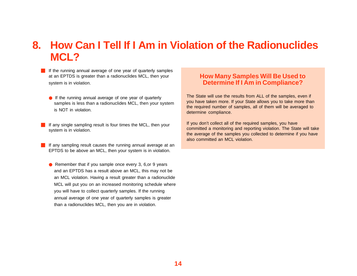## **8. How Can I Tell If I Am in Violation of the Radionuclides MCL?**

- If the running annual average of one year of quarterly samples at an EPTDS is greater than a radionuclides MCL, then your system is in violation.
	- If the running annual average of one year of quarterly samples is less than a radionuclides MCL, then your system is NOT in violation.
- $\blacksquare$  If any single sampling result is four times the MCL, then your system is in violation.
- $\blacksquare$  If any sampling result causes the running annual average at an EPTDS to be above an MCL, then your system is in violation.
	- Remember that if you sample once every 3, 6, or 9 years and an EPTDS has a result above an MCL, this may not be an MCL violation. Having a result greater than a radionuclide MCL will put you on an increased monitoring schedule where you will have to collect quarterly samples. If the running annual average of one year of quarterly samples is greater than a radionuclides MCL, then you are in violation.

### **How Many Samples Will Be Used to Determine If I Am in Compliance?**

The State will use the results from ALL of the samples, even if you have taken more. If your State allows you to take more than the required number of samples, all of them will be averaged to determine compliance.

If you don't collect all of the required samples, you have committed a monitoring and reporting violation. The State will take the average of the samples you collected to determine if you have also committed an MCL violation.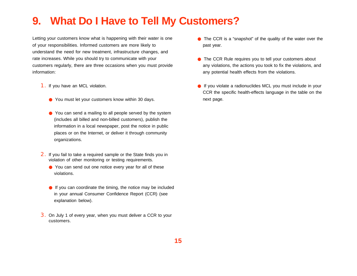## **9. What Do I Have to Tell My Customers?**

Letting your customers know what is happening with their water is one of your responsibilities. Informed customers are more likely to understand the need for new treatment, infrastructure changes, and rate increases. While you should try to communicate with your customers regularly, there are three occasions when you must provide information:

- 1. If you have an MCL violation.
	- You must let your customers know within 30 days.
	- You can send a mailing to all people served by the system (includes all billed and non-billed customers), publish the information in a local newspaper, post the notice in public places or on the Internet, or deliver it through community organizations.
- 2. If you fail to take a required sample or the State finds you in violation of other monitoring or testing requirements.
	- You can send out one notice every year for all of these violations.
	- If you can coordinate the timing, the notice may be included in your annual Consumer Confidence Report (CCR) (see explanation below).
- 3. On July 1 of every year, when you must deliver a CCR to your customers.
- The CCR is a "snapshot" of the quality of the water over the past year.
- The CCR Rule requires you to tell your customers about any violations, the actions you took to fix the violations, and any potential health effects from the violations.
- If you violate a radionuclides MCL you must include in your CCR the specific health-effects language in the table on the next page.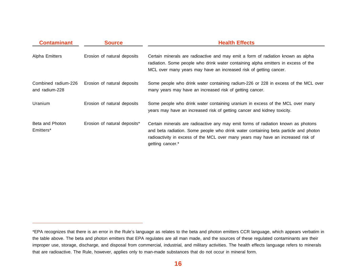| <b>Contaminant</b>                    | <b>Source</b>                | <b>Health Effects</b>                                                                                                                                                                                                                                                            |
|---------------------------------------|------------------------------|----------------------------------------------------------------------------------------------------------------------------------------------------------------------------------------------------------------------------------------------------------------------------------|
| Alpha Emitters                        | Erosion of natural deposits  | Certain minerals are radioactive and may emit a form of radiation known as alpha<br>radiation. Some people who drink water containing alpha emitters in excess of the<br>MCL over many years may have an increased risk of getting cancer.                                       |
| Combined radium-226<br>and radium-228 | Erosion of natural deposits  | Some people who drink water containing radium-226 or 228 in excess of the MCL over<br>many years may have an increased risk of getting cancer.                                                                                                                                   |
| Uranium                               | Erosion of natural deposits  | Some people who drink water containing uranium in excess of the MCL over many<br>years may have an increased risk of getting cancer and kidney toxicity.                                                                                                                         |
| Beta and Photon<br>Emitters*          | Erosion of natural deposits* | Certain minerals are radioactive any may emit forms of radiation known as photons<br>and beta radiation. Some people who drink water containing beta particle and photon<br>radioactivity in excess of the MCL over many years may have an increased risk of<br>getting cancer.* |

<sup>\*</sup>EPA recognizes that there is an error in the Rule's language as relates to the beta and photon emitters CCR language, which appears verbatim in the table above. The beta and photon emitters that EPA regulates are all man made, and the sources of these regulated contaminants are their improper use, storage, discharge, and disposal from commercial, industrial, and military activities. The health effects language refers to minerals that are radioactive. The Rule, however, applies only to man-made substances that do not occur in mineral form.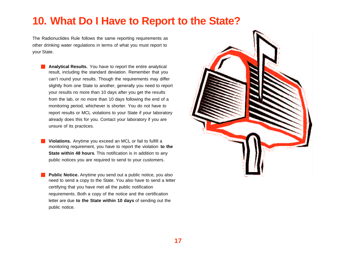### **10. What Do I Have to Report to the State?**

The Radionuclides Rule follows the same reporting requirements as other drinking water regulations in terms of what you must report to your State.

**Analytical Results.** You have to report the entire analytical result, including the standard deviation. Remember that you can't round your results. Though the requirements may differ slightly from one State to another, generally you need to report your results no more than 10 days after you get the results from the lab, or no more than 10 days following the end of a monitoring period, whichever is shorter. You do not have to report results or MCL violations to your State if your laboratory already does this for you. Contact your laboratory if you are unsure of its practices.

**Violations.** Anytime you exceed an MCL or fail to fulfill a monitoring requirement, you have to report the violation **to the State within 48 hours**. This notification is in addition to any public notices you are required to send to your customers.

**Public Notice.** Anytime you send out a public notice, you also need to send a copy to the State. You also have to send a letter certifying that you have met all the public notification requirements. Both a copy of the notice and the certification letter are due **to the State within 10 days** of sending out the public notice.

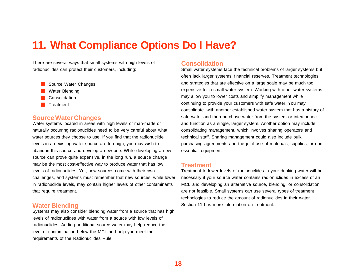### **11. What Compliance Options Do I Have?**

There are several ways that small systems with high levels of radionuclides can protect their customers, including:

- Source Water Changes
- Water Blending
- **Consolidation**
- **Treatment**

#### **Source Water Changes**

Water systems located in areas with high levels of man-made or naturally occurring radionuclides need to be very careful about what water sources they choose to use. If you find that the radionuclide levels in an existing water source are too high, you may wish to abandon this source and develop a new one. While developing a new source can prove quite expensive, in the long run, a source change may be the most cost-effective way to produce water that has low levels of radionuclides. Yet, new sources come with their own challenges, and systems must remember that new sources, while lower in radionuclide levels, may contain higher levels of other contaminants that require treatment.

#### **Water Blending**

Systems may also consider blending water from a source that has high levels of radionuclides with water from a source with low levels of radionuclides. Adding additional source water may help reduce the level of contamination below the MCL and help you meet the requirements of the Radionuclides Rule.

#### **Consolidation**

Small water systems face the technical problems of larger systems but often lack larger systems' financial reserves. Treatment technologies and strategies that are effective on a large scale may be much too expensive for a small water system. Working with other water systems may allow you to lower costs and simplify management while continuing to provide your customers with safe water. You may consolidate with another established water system that has a history of safe water and then purchase water from the system or interconnect and function as a single, larger system. Another option may include consolidating management, which involves sharing operators and technical staff. Sharing management could also include bulk purchasing agreements and the joint use of materials, supplies, or nonessential equipment.

#### **Treatment**

Treatment to lower levels of radionuclides in your drinking water will be necessary if your source water contains radionuclides in excess of an MCL and developing an alternative source, blending, or consolidation are not feasible. Small systems can use several types of treatment technologies to reduce the amount of radionuclides in their water. Section 11 has more information on treatment.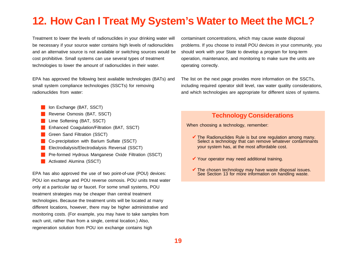## **12. How Can I Treat My System's Water to Meet the MCL?**

Treatment to lower the levels of radionuclides in your drinking water will be necessary if your source water contains high levels of radionuclides and an alternative source is not available or switching sources would be cost prohibitive. Small systems can use several types of treatment technologies to lower the amount of radionuclides in their water.

EPA has approved the following best available technologies (BATs) and small system compliance technologies (SSCTs) for removing radionuclides from water:

contaminant concentrations, which may cause waste disposal problems. If you choose to install POU devices in your community, you should work with your State to develop a program for long-term operation, maintenance, and monitoring to make sure the units are operating correctly.

The list on the next page provides more information on the SSCTs, including required operator skill level, raw water quality considerations, and which technologies are appropriate for different sizes of systems.

- Ion Exchange (BAT, SSCT)
- Reverse Osmosis (BAT, SSCT)
- Lime Softening (BAT, SSCT)
- Enhanced Coagulation/Filtration (BAT, SSCT)
- Green Sand Filtration (SSCT)
- Co-precipitation with Barium Sulfate (SSCT)
- Electrodialysis/Electrodialysis Reversal (SSCT)
- Pre-formed Hydrous Manganese Oxide Filtration (SSCT)
- Activated Alumina (SSCT)

EPA has also approved the use of two point-of-use (POU) devices: POU ion exchange and POU reverse osmosis. POU units treat water only at a particular tap or faucet. For some small systems, POU treatment strategies may be cheaper than central treatment technologies. Because the treatment units will be located at many different locations, however, there may be higher administrative and monitoring costs. (For example, you may have to take samples from each unit, rather than from a single, central location.) Also, regeneration solution from POU ion exchange contains high

### **Technology Considerations**

When choosing a technology, remember:

- $\blacktriangleright$  The Radionuclides Rule is but one regulation among many. Select a technology that can remove whatever contaminants your system has, at the most affordable cost.
- Your operator may need additional training.
- $\blacktriangledown$  The chosen technology may have waste disposal issues. See Section 13 for more information on handling waste.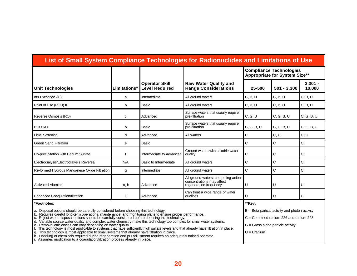| List of Small System Compliance Technologies for Radionuclides and Limitations of Use                                                                                                                                                                                                                                                                                                                                                                                                                                                             |              |                                                |                                                                                           |                                                                 |                                                  |                     |  |
|---------------------------------------------------------------------------------------------------------------------------------------------------------------------------------------------------------------------------------------------------------------------------------------------------------------------------------------------------------------------------------------------------------------------------------------------------------------------------------------------------------------------------------------------------|--------------|------------------------------------------------|-------------------------------------------------------------------------------------------|-----------------------------------------------------------------|--------------------------------------------------|---------------------|--|
|                                                                                                                                                                                                                                                                                                                                                                                                                                                                                                                                                   |              |                                                |                                                                                           | <b>Compliance Technologies</b><br>Appropriate for System Size** |                                                  |                     |  |
| <b>Unit Technologies</b>                                                                                                                                                                                                                                                                                                                                                                                                                                                                                                                          | Limitations* | <b>Operator Skill</b><br><b>Level Required</b> | <b>Raw Water Quality and</b><br><b>Range Considerations</b>                               | 25-500                                                          | $501 - 3,300$                                    | $3,301 -$<br>10,000 |  |
| Ion Exchange (IE)                                                                                                                                                                                                                                                                                                                                                                                                                                                                                                                                 | a            | Intermediate                                   | All ground waters                                                                         | C, B, U                                                         | C, B, U                                          | C, B, U             |  |
| Point of Use (POU) IE                                                                                                                                                                                                                                                                                                                                                                                                                                                                                                                             | b            | Basic                                          | All ground waters                                                                         | C, B, U                                                         | C, B, U                                          | C, B, U             |  |
| Reverse Osmosis (RO)                                                                                                                                                                                                                                                                                                                                                                                                                                                                                                                              | C            | Advanced                                       | Surface waters that usually require<br>pre-filtration                                     | C, G, B                                                         | C, G, B, U                                       | C, G, B, U          |  |
| POU RO                                                                                                                                                                                                                                                                                                                                                                                                                                                                                                                                            | b            | Basic                                          | Surface waters that usually require<br>pre-filtration                                     | C, G, B, U                                                      | C, G, B, U                                       | C, G, B, U          |  |
| Lime Softening                                                                                                                                                                                                                                                                                                                                                                                                                                                                                                                                    | d            | Advanced                                       | All waters                                                                                | C                                                               | C, U                                             | C, U                |  |
| <b>Green Sand Filtration</b>                                                                                                                                                                                                                                                                                                                                                                                                                                                                                                                      | e            | <b>Basic</b>                                   |                                                                                           | C                                                               | C                                                | С                   |  |
| Co-precipitation with Barium Sulfate                                                                                                                                                                                                                                                                                                                                                                                                                                                                                                              | f            | Intermediate to Advanced                       | Ground waters with suitable water<br>quality                                              | C                                                               | C                                                | C                   |  |
| Electrodialysis/Electrodialysis Reversal                                                                                                                                                                                                                                                                                                                                                                                                                                                                                                          | N/A          | Basic to Intermediate                          | All ground waters                                                                         | C                                                               | $\mathsf{C}$                                     | Ċ                   |  |
| Re-formed Hydrous Manganese Oxide Filtration                                                                                                                                                                                                                                                                                                                                                                                                                                                                                                      | g            | Intermediate                                   | All ground waters                                                                         | $\mathsf{C}$                                                    | $\mathsf{C}$                                     | Ć                   |  |
| <b>Activated Alumina</b>                                                                                                                                                                                                                                                                                                                                                                                                                                                                                                                          | a. h         | Advanced                                       | All ground waters; competing anion<br>concentrations may affect<br>regeneration frequency | U                                                               | U                                                | U                   |  |
| <b>Enhanced Coaqulation/filtration</b>                                                                                                                                                                                                                                                                                                                                                                                                                                                                                                            |              | Advanced                                       | Can treat a wide range of water<br>qualities                                              | U                                                               | U                                                | U                   |  |
| *Footnotes:                                                                                                                                                                                                                                                                                                                                                                                                                                                                                                                                       |              |                                                |                                                                                           |                                                                 |                                                  |                     |  |
| a. Disposal options should be carefully considered before choosing this technology.                                                                                                                                                                                                                                                                                                                                                                                                                                                               |              |                                                |                                                                                           |                                                                 | $B =$ Beta partical activity and photon activity |                     |  |
| b. Requires careful long-term operations, maintenance, and monitoring plans to ensure proper performance.<br>c. Reject water disposal options should be carefully considered before choosing this technology.<br>d. Variable source water quality and complex water chemistry make this technology too complex for small water systems.<br>e. Removal efficiencies can vary depending on water quality.<br>f. This technology is most applicable to systems that have sufficiently high sulfate levels and that already have filtration in place. |              |                                                |                                                                                           | $C =$ Combined radium-226 and radium-228                        |                                                  |                     |  |
|                                                                                                                                                                                                                                                                                                                                                                                                                                                                                                                                                   |              |                                                |                                                                                           | $G =$ Gross alpha particle activity                             |                                                  |                     |  |
| g. This technology is most applicable to small systems that already have filtration in place.                                                                                                                                                                                                                                                                                                                                                                                                                                                     |              |                                                |                                                                                           | $U = Uranium$                                                   |                                                  |                     |  |
| h. Handling of chemicals required during regeneration and pH adjustment requires an adequately trained operator.<br>i. Assumes modication to a coagulation/filtration process already in place.                                                                                                                                                                                                                                                                                                                                                   |              |                                                |                                                                                           |                                                                 |                                                  |                     |  |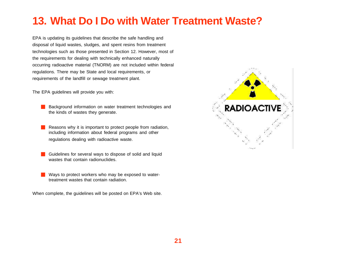## **13. What Do I Do with Water Treatment Waste?**

EPA is updating its guidelines that describe the safe handling and disposal of liquid wastes, sludges, and spent resins from treatment technologies such as those presented in Section 12. However, most of the requirements for dealing with technically enhanced naturally occurring radioactive material (TNORM) are not included within federal regulations. There may be State and local requirements, or requirements of the landfill or sewage treatment plant.

The EPA guidelines will provide you with:

- Background information on water treatment technologies and the kinds of wastes they generate.
- Reasons why it is important to protect people from radiation, including information about federal programs and other regulations dealing with radioactive waste.
- Guidelines for several ways to dispose of solid and liquid wastes that contain radionuclides.
- Ways to protect workers who may be exposed to watertreatment wastes that contain radiation.

When complete, the guidelines will be posted on EPA's Web site.

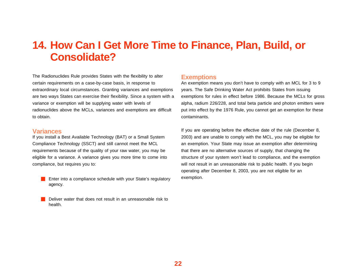## **14. How Can I Get More Time to Finance, Plan, Build, or Consolidate?**

The Radionuclides Rule provides States with the flexibility to alter certain requirements on a case-by-case basis, in response to extraordinary local circumstances. Granting variances and exemptions are two ways States can exercise their flexibility. Since a system with a variance or exemption will be supplying water with levels of radionuclides above the MCLs, variances and exemptions are difficult to obtain.

#### **Variances**

If you install a Best Available Technology (BAT) or a Small System Compliance Technology (SSCT) and still cannot meet the MCL requirements because of the quality of your raw water, you may be eligible for a variance. A variance gives you more time to come into compliance, but requires you to:

- Enter into a compliance schedule with your State's regulatory agency.
- Deliver water that does not result in an unreasonable risk to health.

#### **Exemptions**

An exemption means you don't have to comply with an MCL for 3 to 9 years. The Safe Drinking Water Act prohibits States from issuing exemptions for rules in effect before 1986. Because the MCLs for gross alpha, radium 226/228, and total beta particle and photon emitters were put into effect by the 1976 Rule, you cannot get an exemption for these contaminants.

If you are operating before the effective date of the rule (December 8, 2003) and are unable to comply with the MCL, you may be eligible for an exemption. Your State may issue an exemption after determining that there are no alternative sources of supply, that changing the structure of your system won't lead to compliance, and the exemption will not result in an unreasonable risk to public health. If you begin operating after December 8, 2003, you are not eligible for an exemption.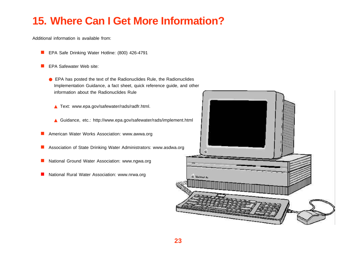## **15. Where Can I Get More Information?**

Additional information is available from:

- **n** EPA Safe Drinking Water Hotline: (800) 426-4791
- EPA Safewater Web site:
	- EPA has posted the text of the Radionuclides Rule, the Radionuclides Implementation Guidance, a fact sheet, quick reference guide, and other information about the Radionuclides Rule
		- ▲ Text: www.epa.gov/safewater/rads/radfr.html.
		- ▲ Guidance, etc.: http://www.epa.gov/safewater/rads/implement.html
- American Water Works Association: www.awwa.org
- **n** Association of State Drinking Water Administrators: www.asdwa.org
- National Ground Water Association: www.ngwa.org
- National Rural Water Association: www.nrwa.org

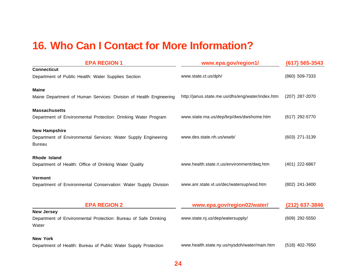# **16. Who Can I Contact for More Information?**

| <b>EPA REGION 1</b>                                                             | www.epa.gov/region1/                             | $(617) 565 - 3543$ |  |
|---------------------------------------------------------------------------------|--------------------------------------------------|--------------------|--|
| <b>Connecticut</b>                                                              |                                                  |                    |  |
| Department of Publlc Health: Water Supplies Section                             | www.state.ct.us/dph/                             | (860) 509-7333     |  |
| <b>Maine</b>                                                                    |                                                  |                    |  |
| Maine Department of Human Services: Division of Health Engineering              | http://janus.state.me.us/dhs/eng/water/index.htm | (207) 287-2070     |  |
| <b>Massachusetts</b>                                                            |                                                  |                    |  |
| Department of Environmental Protection: Drinking Water Program                  | www.state.ma.us/dep/brp/dws/dwshome.htm          | (617) 292-5770     |  |
| <b>New Hampshire</b>                                                            |                                                  |                    |  |
| Department of Environmental Services: Water Supply Engineering<br><b>Bureau</b> | www.des.state.nh.us/wseb/                        | (603) 271-3139     |  |
| Rhode Island                                                                    |                                                  |                    |  |
| Department of Health: Office of Drinking Water Quality                          | www.health.state.ri.us/environment/dwq.htm       | (401) 222-6867     |  |
| <b>Vermont</b>                                                                  |                                                  |                    |  |
| Department of Environmental Conservation: Water Supply Division                 | www.anr.state.vt.us/dec/watersup/wsd.htm         | (802) 241-3400     |  |
|                                                                                 |                                                  |                    |  |
| <b>EPA REGION 2</b>                                                             | www.epa.gov/region02/water/                      | (212) 637-3846     |  |
| <b>New Jersey</b>                                                               |                                                  |                    |  |
| Department of Environmental Protection: Bureau of Safe Drinking<br>Water        | www.state.nj.us/dep/watersupply/                 | (609) 292-5550     |  |
| <b>New York</b>                                                                 |                                                  |                    |  |
| Department of Health: Bureau of Public Water Supply Protection                  | www.health.state.ny.us/nysdoh/water/main.htm     | (518) 402-7650     |  |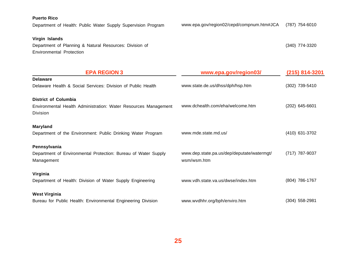#### **Puerto Rico**

Department of Health: Public Water Supply Supervision Program

(787) 754-6010 www.epa.gov/region02/cepd/compnum.htm#JCA

(340) 774-3320

#### **Virgin Islands**

Department of Planning & Natural Resources: Division of Environmental Protection

| <b>EPA REGION 3</b>                                             | www.epa.gov/region03/                      | (215) 814-3201 |  |
|-----------------------------------------------------------------|--------------------------------------------|----------------|--|
| <b>Delaware</b>                                                 |                                            |                |  |
| Delaware Health & Social Services: Division of Public Health    | www.state.de.us/dhss/dph/hsp.htm           | (302) 739-5410 |  |
| <b>District of Columbia</b>                                     |                                            |                |  |
| Environmental Health Administration: Water Resources Management | www.dchealth.com/eha/welcome.htm           | (202) 645-6601 |  |
| <b>Division</b>                                                 |                                            |                |  |
| <b>Maryland</b>                                                 |                                            |                |  |
| Department of the Environment: Public Drinking Water Program    | www.mde.state.md.us/                       | (410) 631-3702 |  |
| Pennsylvania                                                    |                                            |                |  |
| Department of Environmental Protection: Bureau of Water Supply  | www.dep.state.pa.us/dep/deputate/watermgt/ | (717) 787-9037 |  |
| Management                                                      | wsm/wsm.htm                                |                |  |
| Virginia                                                        |                                            |                |  |
| Department of Health: Division of Water Supply Engineering      | www.vdh.state.va.us/dwse/index.htm         | (804) 786-1767 |  |
| <b>West Virginia</b>                                            |                                            |                |  |
| Bureau for Public Health: Environmental Engineering Division    | www.wvdhhr.org/bph/enviro.htm              | (304) 558-2981 |  |
|                                                                 |                                            |                |  |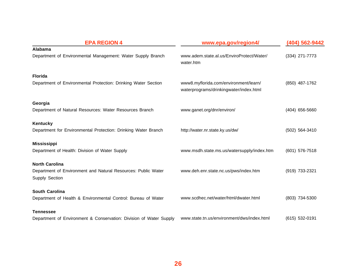| <b>EPA REGION 4</b>                                                                                      | www.epa.gov/region4/                                                            | (404) 562-9442 |
|----------------------------------------------------------------------------------------------------------|---------------------------------------------------------------------------------|----------------|
| Alabama                                                                                                  |                                                                                 |                |
| Department of Environmental Management: Water Supply Branch                                              | www.adem.state.al.us/EnviroProtect/Water/<br>water.htm                          | (334) 271-7773 |
| <b>Florida</b>                                                                                           |                                                                                 |                |
| Department of Environmental Protection: Drinking Water Section                                           | www8.myflorida.com/environment/learn/<br>waterprograms/drinkingwater/index.html | (850) 487-1762 |
| Georgia<br>Department of Natural Resources: Water Resources Branch                                       | www.ganet.org/dnr/environ/                                                      | (404) 656-5660 |
| Kentucky<br>Department for Environmental Protection: Drinking Water Branch                               | http://water.nr.state.ky.us/dw/                                                 | (502) 564-3410 |
| <b>Mississippi</b><br>Department of Health: Division of Water Supply                                     | www.msdh.state.ms.us/watersupply/index.htm                                      | (601) 576-7518 |
| <b>North Carolina</b><br>Department of Environment and Natural Resources: Public Water<br>Supply Section | www.deh.enr.state.nc.us/pws/index.htm                                           | (919) 733-2321 |
| <b>South Carolina</b><br>Department of Health & Environmental Control: Bureau of Water                   | www.scdhec.net/water/html/dwater.html                                           | (803) 734-5300 |
| <b>Tennessee</b><br>Department of Environment & Conservation: Division of Water Supply                   | www.state.tn.us/environment/dws/index.html                                      | (615) 532-0191 |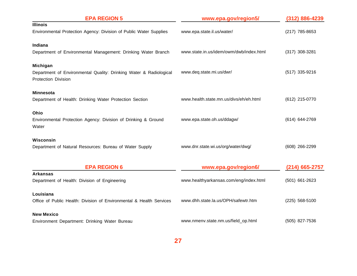| <b>EPA REGION 5</b>                                                                              | www.epa.gov/region5/                    | (312) 886-4239 |
|--------------------------------------------------------------------------------------------------|-----------------------------------------|----------------|
| <b>Illinois</b>                                                                                  |                                         |                |
| Environmental Protection Agency: Division of Public Water Supplies                               | www.epa.state.il.us/water/              | (217) 785-8653 |
| <b>Indiana</b>                                                                                   |                                         |                |
| Department of Environmental Management: Drinking Water Branch                                    | www.state.in.us/idem/owm/dwb/index.html | (317) 308-3281 |
| Michigan                                                                                         |                                         |                |
| Department of Environmental Quality: Drinking Water & Radiological<br><b>Protection Division</b> | www.deq.state.mi.us/dwr/                | (517) 335-9216 |
| <b>Minnesota</b>                                                                                 |                                         |                |
| Department of Health: Drinking Water Protection Section                                          | www.health.state.mn.us/divs/eh/eh.html  | (612) 215-0770 |
| Ohio                                                                                             |                                         |                |
| Environmental Protection Agency: Division of Drinking & Ground<br>Water                          | www.epa.state.oh.us/ddagw/              | (614) 644-2769 |
| Wisconsin                                                                                        |                                         |                |
| Department of Natural Resources: Bureau of Water Supply                                          | www.dnr.state.wi.us/org/water/dwg/      | (608) 266-2299 |
| <b>EPA REGION 6</b>                                                                              | www.epa.gov/region6/                    | (214) 665-2757 |
| <b>Arkansas</b>                                                                                  |                                         |                |
| Department of Health: Division of Engineering                                                    | www.healthyarkansas.com/eng/index.html  | (501) 661-2623 |
| Louisiana                                                                                        |                                         |                |
| Office of Public Health: Division of Environmental & Health Services                             | www.dhh.state.la.us/OPH/safewtr.htm     | (225) 568-5100 |
| <b>New Mexico</b>                                                                                |                                         |                |
| Environment Department: Drinking Water Bureau                                                    | www.nmenv.state.nm.us/field_op.html     | (505) 827-7536 |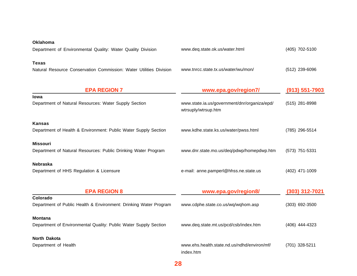| Oklahoma                                                                           |                                                                     |                |
|------------------------------------------------------------------------------------|---------------------------------------------------------------------|----------------|
| Department of Environmental Quality: Water Quality Division                        | www.deq.state.ok.us/water.html                                      | (405) 702-5100 |
| <b>Texas</b><br>Natural Resource Conservation Commission: Water Utilities Division | www.tnrcc.state.tx.us/water/wu/mon/                                 | (512) 239-6096 |
| <b>EPA REGION 7</b>                                                                | www.epa.gov/region7/                                                | (913) 551-7903 |
| Iowa<br>Department of Natural Resources: Water Supply Section                      | www.state.ia.us/government/dnr/organiza/epd/<br>wtrsuply/wtrsup.htm | (515) 281-8998 |
| Kansas<br>Department of Health & Environment: Public Water Supply Section          | www.kdhe.state.ks.us/water/pwss.html                                | (785) 296-5514 |
| <b>Missouri</b><br>Department of Natural Resources: Public Drinking Water Program  | www.dnr.state.mo.us/deq/pdwp/homepdwp.htm                           | (573) 751-5331 |
| <b>Nebraska</b><br>Department of HHS Regulation & Licensure                        | e-mail: anne.pamperl@hhss.ne.state.us                               | (402) 471-1009 |
| <b>EPA REGION 8</b>                                                                | www.epa.gov/region8/                                                | (303) 312-7021 |
| Colorado<br>Department of Public Health & Environment: Drinking Water Program      | www.cdphe.state.co.us/wq/wqhom.asp                                  | (303) 692-3500 |
| <b>Montana</b><br>Department of Environmental Quality: Public Water Supply Section | www.deq.state.mt.us/pcd/csb/index.htm                               | (406) 444-4323 |
| North Dakota<br>Department of Health                                               | www.ehs.health.state.nd.us/ndhd/environ/mf/<br>index.htm            | (701) 328-5211 |

**28**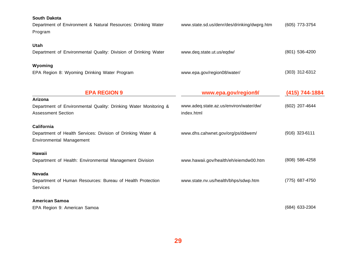| <b>South Dakota</b><br>Department of Environment & Natural Resources: Drinking Water<br>Program              | www.state.sd.us/denr/des/drinking/dwprg.htm          | (605) 773-3754 |
|--------------------------------------------------------------------------------------------------------------|------------------------------------------------------|----------------|
| Utah<br>Department of Environmental Quality: Division of Drinking Water                                      | www.deq.state.ut.us/eqdw/                            | (801) 536-4200 |
| Wyoming<br>EPA Region 8: Wyoming Drinking Water Program                                                      | www.epa.gov/region08/water/                          | (303) 312-6312 |
| <b>EPA REGION 9</b>                                                                                          | www.epa.gov/region9/                                 | (415) 744-1884 |
| Arizona<br>Department of Environmental Quality: Drinking Water Monitoring &<br><b>Assessment Section</b>     | www.adeq.state.az.us/environ/water/dw/<br>index.html | (602) 207-4644 |
| <b>California</b><br>Department of Health Services: Division of Drinking Water &<br>Environmental Management | www.dhs.cahwnet.gov/org/ps/ddwem/                    | (916) 323-6111 |
| <b>Hawaii</b><br>Department of Health: Environmental Management Division                                     | www.hawaii.gov/health/eh/eiemdw00.htm                | (808) 586-4258 |
| <b>Nevada</b><br>Department of Human Resources: Bureau of Health Protection<br>Services                      | www.state.nv.us/health/bhps/sdwp.htm                 | (775) 687-4750 |
| <b>American Samoa</b><br>EPA Region 9: American Samoa                                                        |                                                      | (684) 633-2304 |